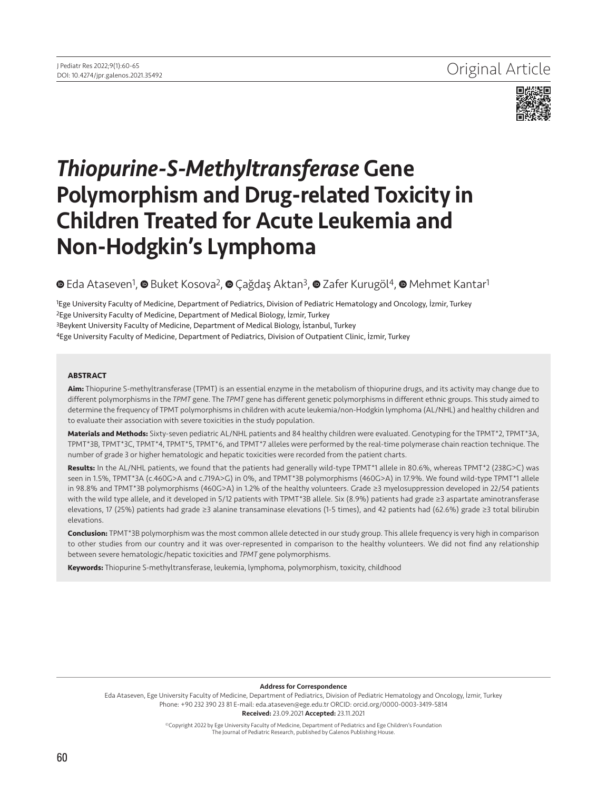

# *Thiopurine-S-Methyltransferase* Gene Polymorphism and Drug-related Toxicity in Children Treated for Acute Leukemia and Non-Hodgkin's Lymphoma

## $\bullet$  [E](https://orcid.org/0000-0003-3419-5814)da Ataseven<sup>1</sup>[,](https://orcid.org/0000-0003-3636-6082)  $\bullet$ Buket Kosova<sup>2</sup>,  $\bullet$  Çağdaş Aktan<sup>3</sup>,  $\bullet$  Zafer Kurugöl<sup>4</sup>,  $\bullet$  [M](https://orcid.org/0000-0002-1669-4321)ehmet Kantar<sup>1</sup>

Ege University Faculty of Medicine, Department of Pediatrics, Division of Pediatric Hematology and Oncology, İzmir, Turkey Ege University Faculty of Medicine, Department of Medical Biology, İzmir, Turkey Beykent University Faculty of Medicine, Department of Medical Biology, İstanbul, Turkey 4Ege University Faculty of Medicine, Department of Pediatrics, Division of Outpatient Clinic, İzmir, Turkey

#### **ABSTRACT**

**Aim:** Thiopurine S-methyltransferase (TPMT) is an essential enzyme in the metabolism of thiopurine drugs, and its activity may change due to different polymorphisms in the *TPMT* gene. The *TPMT* gene has different genetic polymorphisms in different ethnic groups. This study aimed to determine the frequency of TPMT polymorphisms in children with acute leukemia/non-Hodgkin lymphoma (AL/NHL) and healthy children and to evaluate their association with severe toxicities in the study population.

**Materials and Methods:** Sixty-seven pediatric AL/NHL patients and 84 healthy children were evaluated. Genotyping for the TPMT\*2, TPMT\*3A, TPMT\*3B, TPMT\*3C, TPMT\*4, TPMT\*5, TPMT\*6, and TPMT\*7 alleles were performed by the real-time polymerase chain reaction technique. The number of grade 3 or higher hematologic and hepatic toxicities were recorded from the patient charts.

**Results:** In the AL/NHL patients, we found that the patients had generally wild-type TPMT\*1 allele in 80.6%, whereas TPMT\*2 (238G>C) was seen in 1.5%, TPMT\*3A (c.460G>A and c.719A>G) in 0%, and TPMT\*3B polymorphisms (460G>A) in 17.9%. We found wild-type TPMT\*1 allele in 98.8% and TPMT\*3B polymorphisms (460G>A) in 1.2% of the healthy volunteers. Grade ≥3 myelosuppression developed in 22/54 patients with the wild type allele, and it developed in 5/12 patients with TPMT\*3B allele. Six (8.9%) patients had grade ≥3 aspartate aminotransferase elevations, 17 (25%) patients had grade ≥3 alanine transaminase elevations (1-5 times), and 42 patients had (62.6%) grade ≥3 total bilirubin elevations.

**Conclusion:** TPMT\*3B polymorphism was the most common allele detected in our study group. This allele frequency is very high in comparison to other studies from our country and it was over-represented in comparison to the healthy volunteers. We did not find any relationship between severe hematologic/hepatic toxicities and *TPMT* gene polymorphisms.

**Keywords:** Thiopurine S-methyltransferase, leukemia, lymphoma, polymorphism, toxicity, childhood

#### Address for Correspondence

Eda Ataseven, Ege University Faculty of Medicine, Department of Pediatrics, Division of Pediatric Hematology and Oncology, İzmir, Turkey Phone: +90 232 390 23 81 E-mail: eda.ataseven@ege.edu.tr ORCID: orcid.org/0000-0003-3419-5814 Received: 23.09.2021 Accepted: 23.11.2021

> ©Copyright 2022 by Ege University Faculty of Medicine, Department of Pediatrics and Ege Children's Foundation The Journal of Pediatric Research, published by Galenos Publishing House.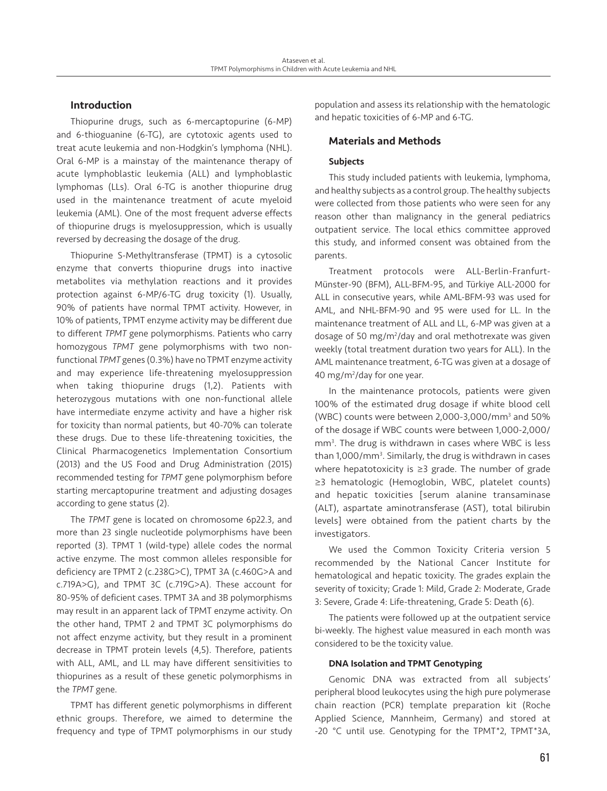### Introduction

Thiopurine drugs, such as 6-mercaptopurine (6-MP) and 6-thioguanine (6-TG), are cytotoxic agents used to treat acute leukemia and non-Hodgkin's lymphoma (NHL). Oral 6-MP is a mainstay of the maintenance therapy of acute lymphoblastic leukemia (ALL) and lymphoblastic lymphomas (LLs). Oral 6-TG is another thiopurine drug used in the maintenance treatment of acute myeloid leukemia (AML). One of the most frequent adverse effects of thiopurine drugs is myelosuppression, which is usually reversed by decreasing the dosage of the drug.

Thiopurine S-Methyltransferase (TPMT) is a cytosolic enzyme that converts thiopurine drugs into inactive metabolites via methylation reactions and it provides protection against 6-MP/6-TG drug toxicity (1). Usually, 90% of patients have normal TPMT activity. However, in 10% of patients, TPMT enzyme activity may be different due to different *TPMT* gene polymorphisms. Patients who carry homozygous *TPMT* gene polymorphisms with two nonfunctional *TPMT* genes (0.3%) have no TPMT enzyme activity and may experience life-threatening myelosuppression when taking thiopurine drugs (1,2). Patients with heterozygous mutations with one non-functional allele have intermediate enzyme activity and have a higher risk for toxicity than normal patients, but 40-70% can tolerate these drugs. Due to these life-threatening toxicities, the Clinical Pharmacogenetics Implementation Consortium (2013) and the US Food and Drug Administration (2015) recommended testing for *TPMT* gene polymorphism before starting mercaptopurine treatment and adjusting dosages according to gene status (2).

The *TPMT* gene is located on chromosome 6p22.3, and more than 23 single nucleotide polymorphisms have been reported (3). TPMT 1 (wild-type) allele codes the normal active enzyme. The most common alleles responsible for deficiency are TPMT 2 (c.238G>C), TPMT 3A (c.460G>A and c.719A>G), and TPMT 3C (c.719G>A). These account for 80-95% of deficient cases. TPMT 3A and 3B polymorphisms may result in an apparent lack of TPMT enzyme activity. On the other hand, TPMT 2 and TPMT 3C polymorphisms do not affect enzyme activity, but they result in a prominent decrease in TPMT protein levels (4,5). Therefore, patients with ALL, AML, and LL may have different sensitivities to thiopurines as a result of these genetic polymorphisms in the *TPMT* gene.

TPMT has different genetic polymorphisms in different ethnic groups. Therefore, we aimed to determine the frequency and type of TPMT polymorphisms in our study

population and assess its relationship with the hematologic and hepatic toxicities of 6-MP and 6-TG.

#### Materials and Methods

#### Subjects

This study included patients with leukemia, lymphoma, and healthy subjects as a control group. The healthy subjects were collected from those patients who were seen for any reason other than malignancy in the general pediatrics outpatient service. The local ethics committee approved this study, and informed consent was obtained from the parents.

Treatment protocols were ALL-Berlin-Franfurt-Münster-90 (BFM), ALL-BFM-95, and Türkiye ALL-2000 for ALL in consecutive years, while AML-BFM-93 was used for AML, and NHL-BFM-90 and 95 were used for LL. In the maintenance treatment of ALL and LL, 6-MP was given at a dosage of 50 mg/m2 /day and oral methotrexate was given weekly (total treatment duration two years for ALL). In the AML maintenance treatment, 6-TG was given at a dosage of 40 mg/m<sup>2</sup>/day for one year.

In the maintenance protocols, patients were given 100% of the estimated drug dosage if white blood cell (WBC) counts were between 2,000-3,000/mm<sup>3</sup> and 50% of the dosage if WBC counts were between 1,000-2,000/ mm3 . The drug is withdrawn in cases where WBC is less than 1,000/mm<sup>3</sup>. Similarly, the drug is withdrawn in cases where hepatotoxicity is ≥3 grade. The number of grade ≥3 hematologic (Hemoglobin, WBC, platelet counts) and hepatic toxicities [serum alanine transaminase (ALT), aspartate aminotransferase (AST), total bilirubin levels] were obtained from the patient charts by the investigators.

We used the Common Toxicity Criteria version 5 recommended by the National Cancer Institute for hematological and hepatic toxicity. The grades explain the severity of toxicity; Grade 1: Mild, Grade 2: Moderate, Grade 3: Severe, Grade 4: Life-threatening, Grade 5: Death (6).

The patients were followed up at the outpatient service bi-weekly. The highest value measured in each month was considered to be the toxicity value.

#### DNA Isolation and TPMT Genotyping

Genomic DNA was extracted from all subjects' peripheral blood leukocytes using the high pure polymerase chain reaction (PCR) template preparation kit (Roche Applied Science, Mannheim, Germany) and stored at -20 °C until use. Genotyping for the TPMT\*2, TPMT\*3A,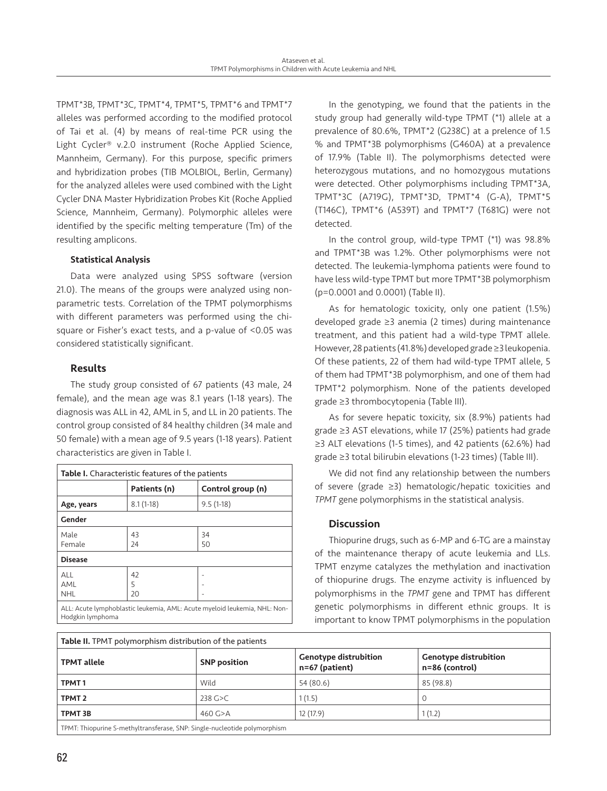TPMT\*3B, TPMT\*3C, TPMT\*4, TPMT\*5, TPMT\*6 and TPMT\*7 alleles was performed according to the modified protocol of Tai et al. (4) by means of real-time PCR using the Light Cycler® v.2.0 instrument (Roche Applied Science, Mannheim, Germany). For this purpose, specific primers and hybridization probes (TIB MOLBIOL, Berlin, Germany) for the analyzed alleles were used combined with the Light Cycler DNA Master Hybridization Probes Kit (Roche Applied Science, Mannheim, Germany). Polymorphic alleles were identified by the specific melting temperature (Tm) of the resulting amplicons.

#### Statistical Analysis

Data were analyzed using SPSS software (version 21.0). The means of the groups were analyzed using nonparametric tests. Correlation of the TPMT polymorphisms with different parameters was performed using the chisquare or Fisher's exact tests, and a p-value of <0.05 was considered statistically significant.

#### Results

The study group consisted of 67 patients (43 male, 24 female), and the mean age was 8.1 years (1-18 years). The diagnosis was ALL in 42, AML in 5, and LL in 20 patients. The control group consisted of 84 healthy children (34 male and 50 female) with a mean age of 9.5 years (1-18 years). Patient characteristics are given in Table I.

| <b>Table I.</b> Characteristic features of the patients |                   |  |  |  |  |  |  |
|---------------------------------------------------------|-------------------|--|--|--|--|--|--|
| Patients (n)                                            | Control group (n) |  |  |  |  |  |  |
| $8.1(1-18)$                                             | $9.5(1-18)$       |  |  |  |  |  |  |
| Gender                                                  |                   |  |  |  |  |  |  |
| 43                                                      | 34                |  |  |  |  |  |  |
| 24                                                      | 50                |  |  |  |  |  |  |
| <b>Disease</b>                                          |                   |  |  |  |  |  |  |
| 42                                                      |                   |  |  |  |  |  |  |
| 5                                                       |                   |  |  |  |  |  |  |
| 20                                                      |                   |  |  |  |  |  |  |
|                                                         |                   |  |  |  |  |  |  |

In the genotyping, we found that the patients in the study group had generally wild-type TPMT (\*1) allele at a prevalence of 80.6%, TPMT\*2 (G238C) at a prelence of 1.5 % and TPMT\*3B polymorphisms (G460A) at a prevalence of 17.9% (Table II). The polymorphisms detected were heterozygous mutations, and no homozygous mutations were detected. Other polymorphisms including TPMT\*3A, TPMT\*3C (A719G), TPMT\*3D, TPMT\*4 (G-A), TPMT\*5 (T146C), TPMT\*6 (A539T) and TPMT\*7 (T681G) were not detected.

In the control group, wild-type TPMT (\*1) was 98.8% and TPMT\*3B was 1.2%. Other polymorphisms were not detected. The leukemia-lymphoma patients were found to have less wild-type TPMT but more TPMT\*3B polymorphism (p=0.0001 and 0.0001) (Table II).

As for hematologic toxicity, only one patient (1.5%) developed grade ≥3 anemia (2 times) during maintenance treatment, and this patient had a wild-type TPMT allele. However, 28 patients (41.8%) developed grade ≥3 leukopenia. Of these patients, 22 of them had wild-type TPMT allele, 5 of them had TPMT\*3B polymorphism, and one of them had TPMT\*2 polymorphism. None of the patients developed grade ≥3 thrombocytopenia (Table III).

As for severe hepatic toxicity, six (8.9%) patients had grade ≥3 AST elevations, while 17 (25%) patients had grade ≥3 ALT elevations (1-5 times), and 42 patients (62.6%) had grade ≥3 total bilirubin elevations (1-23 times) (Table III).

We did not find any relationship between the numbers of severe (grade ≥3) hematologic/hepatic toxicities and *TPMT* gene polymorphisms in the statistical analysis.

#### **Discussion**

Thiopurine drugs, such as 6-MP and 6-TG are a mainstay of the maintenance therapy of acute leukemia and LLs. TPMT enzyme catalyzes the methylation and inactivation of thiopurine drugs. The enzyme activity is influenced by polymorphisms in the *TPMT* gene and TPMT has different genetic polymorphisms in different ethnic groups. It is important to know TPMT polymorphisms in the population

| Table II. TPMT polymorphism distribution of the patients                  |                     |                                                |                                                |  |  |  |  |
|---------------------------------------------------------------------------|---------------------|------------------------------------------------|------------------------------------------------|--|--|--|--|
| <b>TPMT</b> allele                                                        | <b>SNP position</b> | <b>Genotype distrubition</b><br>n=67 (patient) | <b>Genotype distrubition</b><br>n=86 (control) |  |  |  |  |
| TPMT <sub>1</sub>                                                         | Wild                | 54 (80.6)                                      | 85 (98.8)                                      |  |  |  |  |
| TPMT <sub>2</sub>                                                         | $238$ G $>C$        | 1(1.5)                                         |                                                |  |  |  |  |
| TPMT 3B                                                                   | 460 $G > A$         | 12 (17.9)                                      | 1(1.2)                                         |  |  |  |  |
| TPMT: Thiopurine S-methyltransferase, SNP: Single-nucleotide polymorphism |                     |                                                |                                                |  |  |  |  |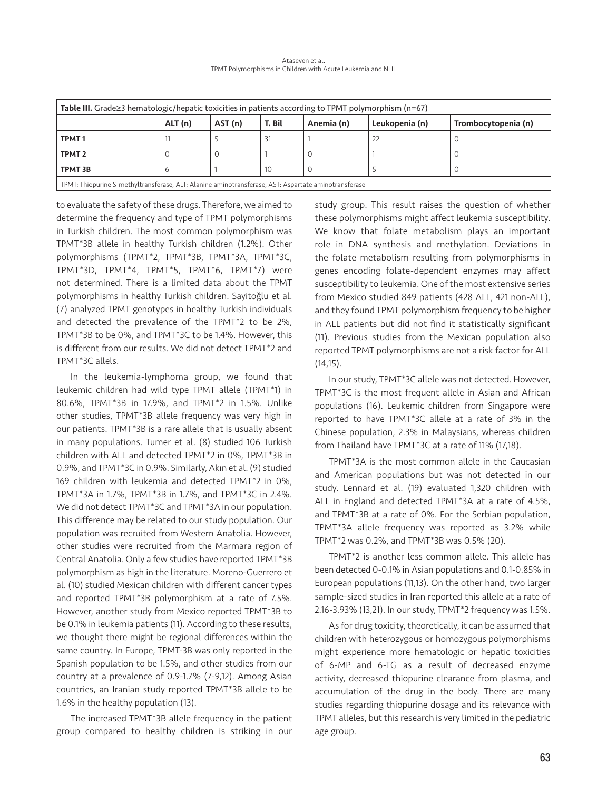Ataseven et al. TPMT Polymorphisms in Children with Acute Leukemia and NHL

| Table III. Grade $\geq$ 3 hematologic/hepatic toxicities in patients according to TPMT polymorphism (n=67) |         |         |        |            |                |                     |  |  |
|------------------------------------------------------------------------------------------------------------|---------|---------|--------|------------|----------------|---------------------|--|--|
|                                                                                                            | ALT (n) | AST (n) | T. Bil | Anemia (n) | Leukopenia (n) | Trombocytopenia (n) |  |  |
| TPMT <sub>1</sub>                                                                                          |         |         | 31     |            | 22             |                     |  |  |
| TPMT <sub>2</sub>                                                                                          |         |         |        |            |                |                     |  |  |
| <b>TPMT 3B</b>                                                                                             | O       |         | 10     |            |                | U                   |  |  |
| TPMT: Thiopurine S-methyltransferase, ALT: Alanine aminotransferase, AST: Aspartate aminotransferase       |         |         |        |            |                |                     |  |  |

to evaluate the safety of these drugs. Therefore, we aimed to determine the frequency and type of TPMT polymorphisms in Turkish children. The most common polymorphism was TPMT\*3B allele in healthy Turkish children (1.2%). Other polymorphisms (TPMT\*2, TPMT\*3B, TPMT\*3A, TPMT\*3C, TPMT\*3D, TPMT\*4, TPMT\*5, TPMT\*6, TPMT\*7) were not determined. There is a limited data about the TPMT polymorphisms in healthy Turkish children. Sayitoğlu et al. (7) analyzed TPMT genotypes in healthy Turkish individuals and detected the prevalence of the TPMT\*2 to be 2%, TPMT\*3B to be 0%, and TPMT\*3C to be 1.4%. However, this is different from our results. We did not detect TPMT\*2 and TPMT\*3C allels.

In the leukemia-lymphoma group, we found that leukemic children had wild type TPMT allele (TPMT\*1) in 80.6%, TPMT\*3B in 17.9%, and TPMT\*2 in 1.5%. Unlike other studies, TPMT\*3B allele frequency was very high in our patients. TPMT\*3B is a rare allele that is usually absent in many populations. Tumer et al. (8) studied 106 Turkish children with ALL and detected TPMT\*2 in 0%, TPMT\*3B in 0.9%, and TPMT\*3C in 0.9%. Similarly, Akın et al. (9) studied 169 children with leukemia and detected TPMT\*2 in 0%, TPMT\*3A in 1.7%, TPMT\*3B in 1.7%, and TPMT\*3C in 2.4%. We did not detect TPMT\*3C and TPMT\*3A in our population. This difference may be related to our study population. Our population was recruited from Western Anatolia. However, other studies were recruited from the Marmara region of Central Anatolia. Only a few studies have reported TPMT\*3B polymorphism as high in the literature. Moreno-Guerrero et al. (10) studied Mexican children with different cancer types and reported TPMT\*3B polymorphism at a rate of 7.5%. However, another study from Mexico reported TPMT\*3B to be 0.1% in leukemia patients (11). According to these results, we thought there might be regional differences within the same country. In Europe, TPMT-3B was only reported in the Spanish population to be 1.5%, and other studies from our country at a prevalence of 0.9-1.7% (7-9,12). Among Asian countries, an Iranian study reported TPMT\*3B allele to be 1.6% in the healthy population (13).

The increased TPMT\*3B allele frequency in the patient group compared to healthy children is striking in our study group. This result raises the question of whether these polymorphisms might affect leukemia susceptibility. We know that folate metabolism plays an important role in DNA synthesis and methylation. Deviations in the folate metabolism resulting from polymorphisms in genes encoding folate-dependent enzymes may affect susceptibility to leukemia. One of the most extensive series from Mexico studied 849 patients (428 ALL, 421 non-ALL), and they found TPMT polymorphism frequency to be higher in ALL patients but did not find it statistically significant (11). Previous studies from the Mexican population also reported TPMT polymorphisms are not a risk factor for ALL (14,15).

In our study, TPMT\*3C allele was not detected. However, TPMT\*3C is the most frequent allele in Asian and African populations (16). Leukemic children from Singapore were reported to have TPMT\*3C allele at a rate of 3% in the Chinese population, 2.3% in Malaysians, whereas children from Thailand have TPMT\*3C at a rate of 11% (17,18).

TPMT\*3A is the most common allele in the Caucasian and American populations but was not detected in our study. Lennard et al. (19) evaluated 1,320 children with ALL in England and detected TPMT\*3A at a rate of 4.5%, and TPMT\*3B at a rate of 0%. For the Serbian population, TPMT\*3A allele frequency was reported as 3.2% while TPMT\*2 was 0.2%, and TPMT\*3B was 0.5% (20).

TPMT\*2 is another less common allele. This allele has been detected 0-0.1% in Asian populations and 0.1-0.85% in European populations (11,13). On the other hand, two larger sample-sized studies in Iran reported this allele at a rate of 2.16-3.93% (13,21). In our study, TPMT\*2 frequency was 1.5%.

As for drug toxicity, theoretically, it can be assumed that children with heterozygous or homozygous polymorphisms might experience more hematologic or hepatic toxicities of 6-MP and 6-TG as a result of decreased enzyme activity, decreased thiopurine clearance from plasma, and accumulation of the drug in the body. There are many studies regarding thiopurine dosage and its relevance with TPMT alleles, but this research is very limited in the pediatric age group.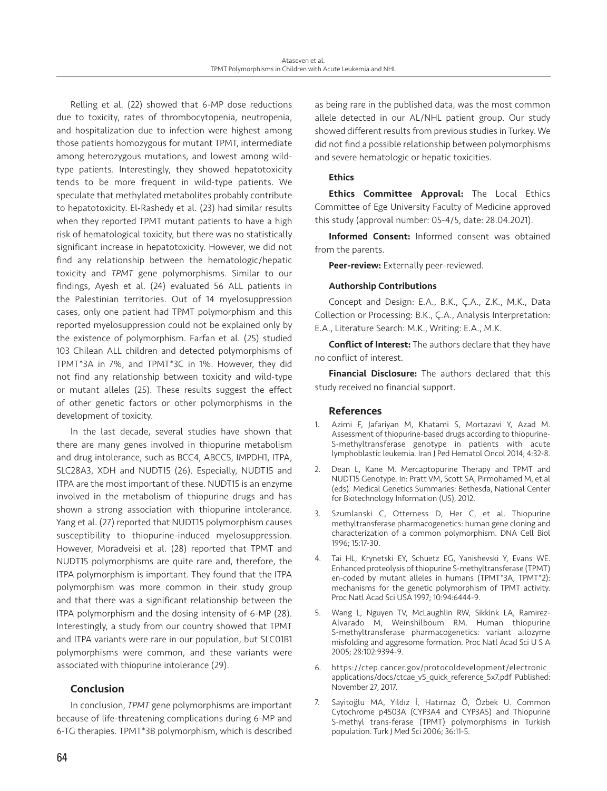Relling et al. (22) showed that 6-MP dose reductions due to toxicity, rates of thrombocytopenia, neutropenia, and hospitalization due to infection were highest among those patients homozygous for mutant TPMT, intermediate among heterozygous mutations, and lowest among wildtype patients. Interestingly, they showed hepatotoxicity tends to be more frequent in wild-type patients. We speculate that methylated metabolites probably contribute to hepatotoxicity. El-Rashedy et al. (23) had similar results when they reported TPMT mutant patients to have a high risk of hematological toxicity, but there was no statistically significant increase in hepatotoxicity. However, we did not find any relationship between the hematologic/hepatic toxicity and *TPMT* gene polymorphisms. Similar to our findings, Ayesh et al. (24) evaluated 56 ALL patients in the Palestinian territories. Out of 14 myelosuppression cases, only one patient had TPMT polymorphism and this reported myelosuppression could not be explained only by the existence of polymorphism. Farfan et al. (25) studied 103 Chilean ALL children and detected polymorphisms of TPMT\*3A in 7%, and TPMT\*3C in 1%. However, they did not find any relationship between toxicity and wild-type or mutant alleles (25). These results suggest the effect of other genetic factors or other polymorphisms in the development of toxicity.

In the last decade, several studies have shown that there are many genes involved in thiopurine metabolism and drug intolerance, such as BCC4, ABCC5, IMPDH1, ITPA, SLC28A3, XDH and NUDT15 (26). Especially, NUDT15 and ITPA are the most important of these. NUDT15 is an enzyme involved in the metabolism of thiopurine drugs and has shown a strong association with thiopurine intolerance. Yang et al. (27) reported that NUDT15 polymorphism causes susceptibility to thiopurine-induced myelosuppression. However, Moradveisi et al. (28) reported that TPMT and NUDT15 polymorphisms are quite rare and, therefore, the ITPA polymorphism is important. They found that the ITPA polymorphism was more common in their study group and that there was a significant relationship between the ITPA polymorphism and the dosing intensity of 6-MP (28). Interestingly, a study from our country showed that TPMT and ITPA variants were rare in our population, but SLC01B1 polymorphisms were common, and these variants were associated with thiopurine intolerance (29).

#### Conclusion

In conclusion, *TPMT* gene polymorphisms are important because of life-threatening complications during 6-MP and 6-TG therapies. TPMT\*3B polymorphism, which is described as being rare in the published data, was the most common allele detected in our AL/NHL patient group. Our study showed different results from previous studies in Turkey. We did not find a possible relationship between polymorphisms and severe hematologic or hepatic toxicities.

#### **Ethics**

Ethics Committee Approval: The Local Ethics Committee of Ege University Faculty of Medicine approved this study (approval number: 05-4/5, date: 28.04.2021).

Informed Consent: Informed consent was obtained from the parents.

Peer-review: Externally peer-reviewed.

#### Authorship Contributions

Concept and Design: E.A., B.K., Ç.A., Z.K., M.K., Data Collection or Processing: B.K., Ç.A., Analysis Interpretation: E.A., Literature Search: M.K., Writing: E.A., M.K.

Conflict of Interest: The authors declare that they have no conflict of interest.

Financial Disclosure: The authors declared that this study received no financial support.

#### References

- 1. Azimi F, Jafariyan M, Khatami S, Mortazavi Y, Azad M. Assessment of thiopurine-based drugs according to thiopurine-S-methyltransferase genotype in patients with acute lymphoblastic leukemia. Iran J Ped Hematol Oncol 2014; 4:32-8.
- 2. Dean L, Kane M. Mercaptopurine Therapy and TPMT and NUDT15 Genotype. In: Pratt VM, Scott SA, Pirmohamed M, et al (eds). Medical Genetics Summaries: Bethesda, National Center for Biotechnology Information (US), 2012.
- 3. Szumlanski C, Otterness D, Her C, et al. Thiopurine methyltransferase pharmacogenetics: human gene cloning and characterization of a common polymorphism. DNA Cell Biol 1996; 15:17-30.
- 4. Tai HL, Krynetski EY, Schuetz EG, Yanishevski Y, Evans WE. Enhanced proteolysis of thiopurine S-methyltransferase (TPMT) en-coded by mutant alleles in humans (TPMT\*3A, TPMT\*2): mechanisms for the genetic polymorphism of TPMT activity. Proc Natl Acad Sci USA 1997; 10:94:6444-9.
- 5. Wang L, Nguyen TV, McLaughlin RW, Sikkink LA, Ramirez-Alvarado M, Weinshilboum RM. Human thiopurine S-methyltransferase pharmacogenetics: variant allozyme misfolding and aggresome formation. Proc Natl Acad Sci U S A 2005; 28:102:9394-9.
- 6. https://ctep.cancer.gov/protocoldevelopment/electronic\_ applications/docs/ctcae\_v5\_quick\_reference\_5x7.pdf Published: November 27, 2017.
- 7. Sayitoğlu MA, Yıldız İ, Hatırnaz Ö, Özbek U. Common Cytochrome p4503A (CYP3A4 and CYP3A5) and Thiopurine S-methyl trans-ferase (TPMT) polymorphisms in Turkish population. Turk J Med Sci 2006; 36:11-5.